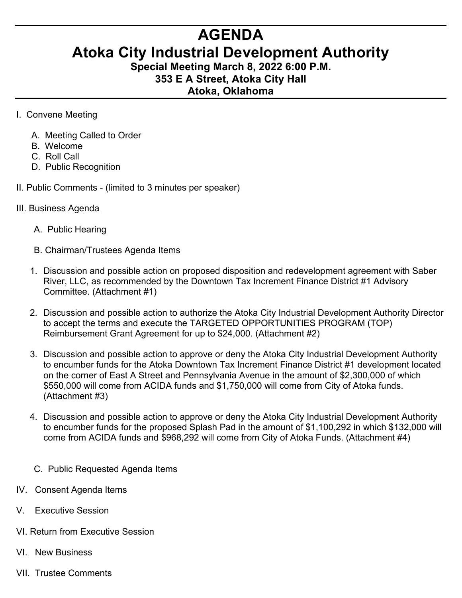## **AGENDA**

## **Atoka City Industrial Development Authority**

**Special Meeting March 8, 2022 6:00 P.M. 353 E A Street, Atoka City Hall**

## **Atoka, Oklahoma**

- I. Convene Meeting
	- A. Meeting Called to Order
	- B. Welcome
	- C. Roll Call
	- D. Public Recognition
- II. Public Comments (limited to 3 minutes per speaker)
- III. Business Agenda
	- A. Public Hearing
	- B. Chairman/Trustees Agenda Items
	- 1. Discussion and possible action on proposed disposition and redevelopment agreement with Saber River, LLC, as recommended by the Downtown Tax Increment Finance District #1 Advisory Committee. (Attachment #1)
	- 2. Discussion and possible action to authorize the Atoka City Industrial Development Authority Director to accept the terms and execute the TARGETED OPPORTUNITIES PROGRAM (TOP) Reimbursement Grant Agreement for up to \$24,000. (Attachment #2)
	- 3. Discussion and possible action to approve or deny the Atoka City Industrial Development Authority to encumber funds for the Atoka Downtown Tax Increment Finance District #1 development located on the corner of East A Street and Pennsylvania Avenue in the amount of \$2,300,000 of which \$550,000 will come from ACIDA funds and \$1,750,000 will come from City of Atoka funds. (Attachment #3)
	- 4. Discussion and possible action to approve or deny the Atoka City Industrial Development Authority to encumber funds for the proposed Splash Pad in the amount of \$1,100,292 in which \$132,000 will come from ACIDA funds and \$968,292 will come from City of Atoka Funds. (Attachment #4)
	- C. Public Requested Agenda Items
- IV. Consent Agenda Items
- V. Executive Session
- VI. Return from Executive Session
- VI. New Business
- VII. Trustee Comments